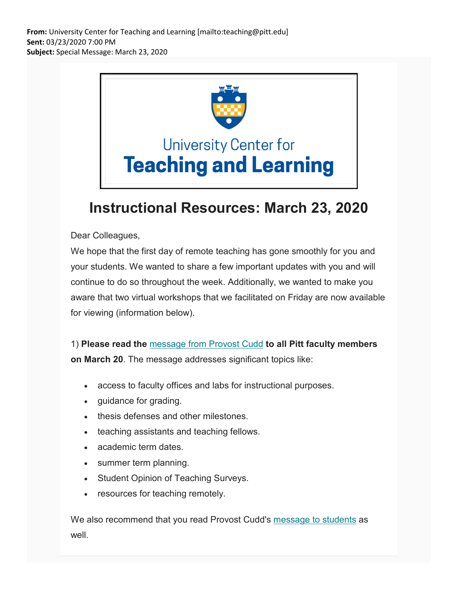**From:** University Center for Teaching and Learning [mailto:teaching@pitt.edu] **Sent:** 03/23/2020 7:00 PM **Subject:** Special Message: March 23, 2020



## **Instructional Resources: March 23, 2020**

## Dear Colleagues,

We hope that the first day of remote teaching has gone smoothly for you and your students. We wanted to share a few important updates with you and will continue to do so throughout the week. Additionally, we wanted to make you aware that two virtual workshops that we facilitated on Friday are now available for viewing (information below).

1) **Please read the** [message from Provost Cudd](https://nam05.safelinks.protection.outlook.com/?url=https%3A%2F%2Fpitt.us11.list-manage.com%2Ftrack%2Fclick%3Fu%3D7ffe6d64cc382ff1672f20448%26id%3D339b2ca18d%26e%3Dde6041e250&data=02%7C01%7Cjoeg%40pitt.edu%7C3f8135e0970d418e334608d7cf803331%7C9ef9f489e0a04eeb87cc3a526112fd0d%7C1%7C0%7C637206021853519943&sdata=Hi2HYqzfpwRP8Wvdf1RlYOXEC%2BValYuGfs6%2BuBH%2Fet4%3D&reserved=0) **to all Pitt faculty members** 

**on March 20**. The message addresses significant topics like:

- access to faculty offices and labs for instructional purposes.
- guidance for grading.
- thesis defenses and other milestones.
- teaching assistants and teaching fellows.
- academic term dates.
- summer term planning.
- Student Opinion of Teaching Surveys.
- resources for teaching remotely.

We also recommend that you read Provost Cudd's [message to students](https://nam05.safelinks.protection.outlook.com/?url=https%3A%2F%2Fpitt.us11.list-manage.com%2Ftrack%2Fclick%3Fu%3D7ffe6d64cc382ff1672f20448%26id%3Da29e7337ee%26e%3Dde6041e250&data=02%7C01%7Cjoeg%40pitt.edu%7C3f8135e0970d418e334608d7cf803331%7C9ef9f489e0a04eeb87cc3a526112fd0d%7C1%7C0%7C637206021853529937&sdata=2o8sG3Uq6sgaULKKkBCYL7OUqqVPCfDl3VsjrUtZGF0%3D&reserved=0) as well.